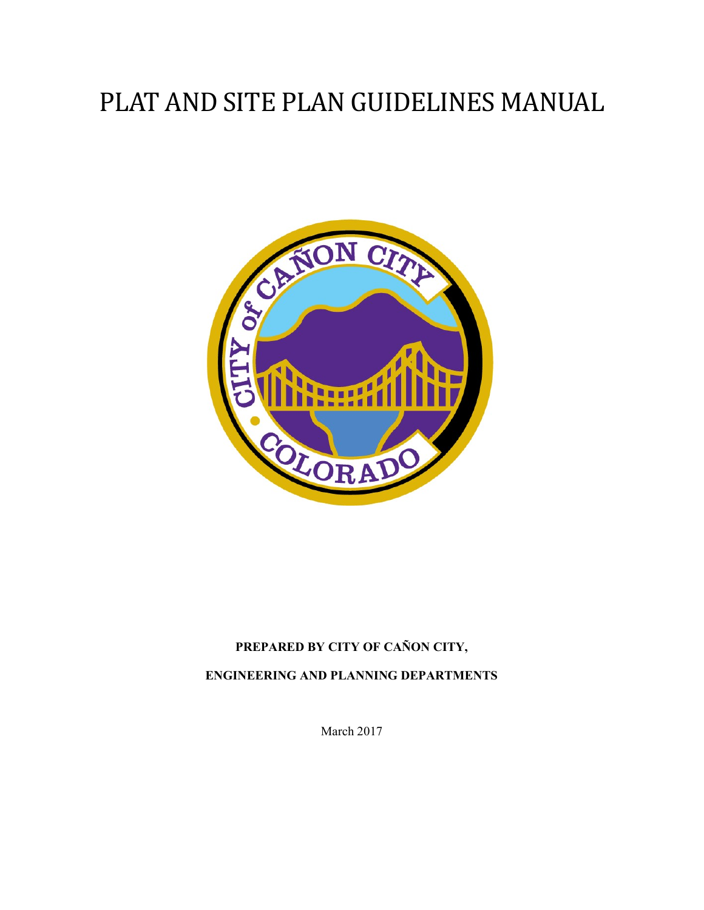# PLAT AND SITE PLAN GUIDELINES MANUAL



## PREPARED BY CITY OF CAÑON CITY, ENGINEERING AND PLANNING DEPARTMENTS

March 2017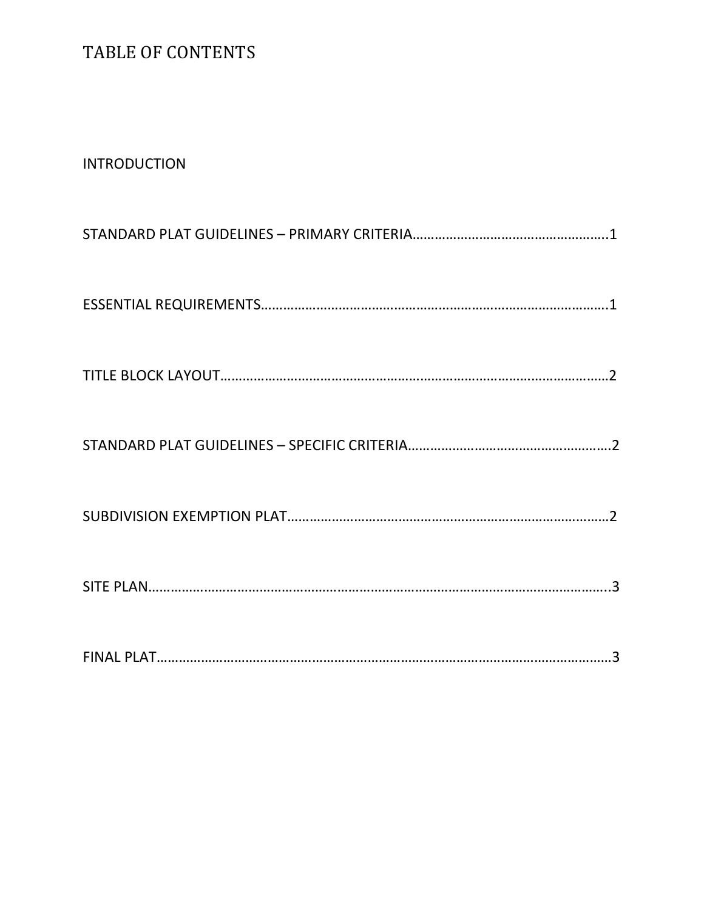## TABLE OF CONTENTS

#### INTRODUCTION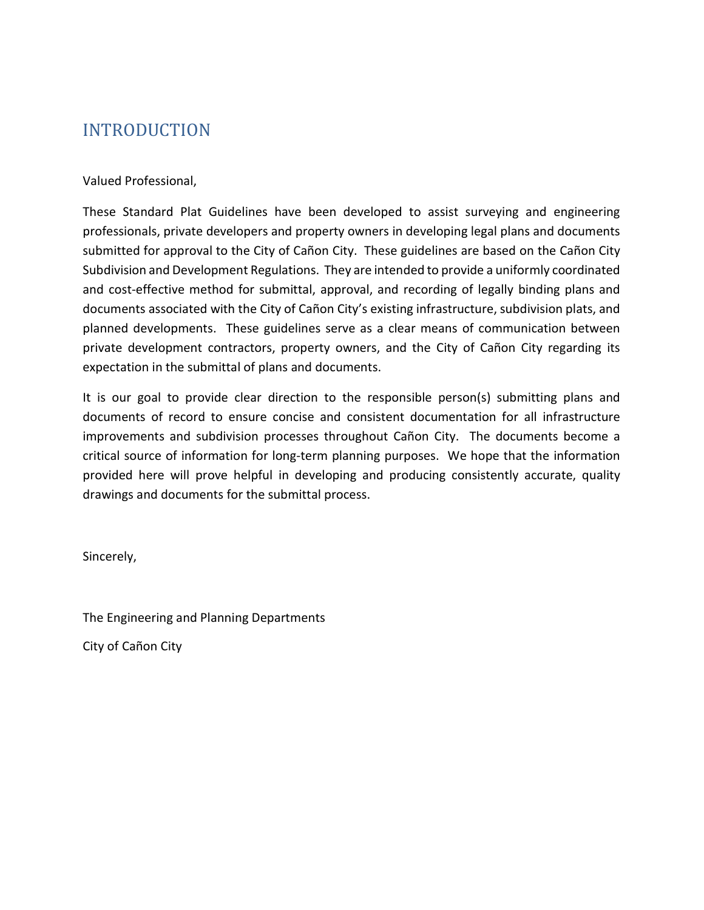## INTRODUCTION

#### Valued Professional,

These Standard Plat Guidelines have been developed to assist surveying and engineering professionals, private developers and property owners in developing legal plans and documents submitted for approval to the City of Cañon City. These guidelines are based on the Cañon City Subdivision and Development Regulations. They are intended to provide a uniformly coordinated and cost-effective method for submittal, approval, and recording of legally binding plans and documents associated with the City of Cañon City's existing infrastructure, subdivision plats, and planned developments. These guidelines serve as a clear means of communication between private development contractors, property owners, and the City of Cañon City regarding its expectation in the submittal of plans and documents.

It is our goal to provide clear direction to the responsible person(s) submitting plans and documents of record to ensure concise and consistent documentation for all infrastructure improvements and subdivision processes throughout Cañon City. The documents become a critical source of information for long-term planning purposes. We hope that the information provided here will prove helpful in developing and producing consistently accurate, quality drawings and documents for the submittal process.

Sincerely,

The Engineering and Planning Departments

City of Cañon City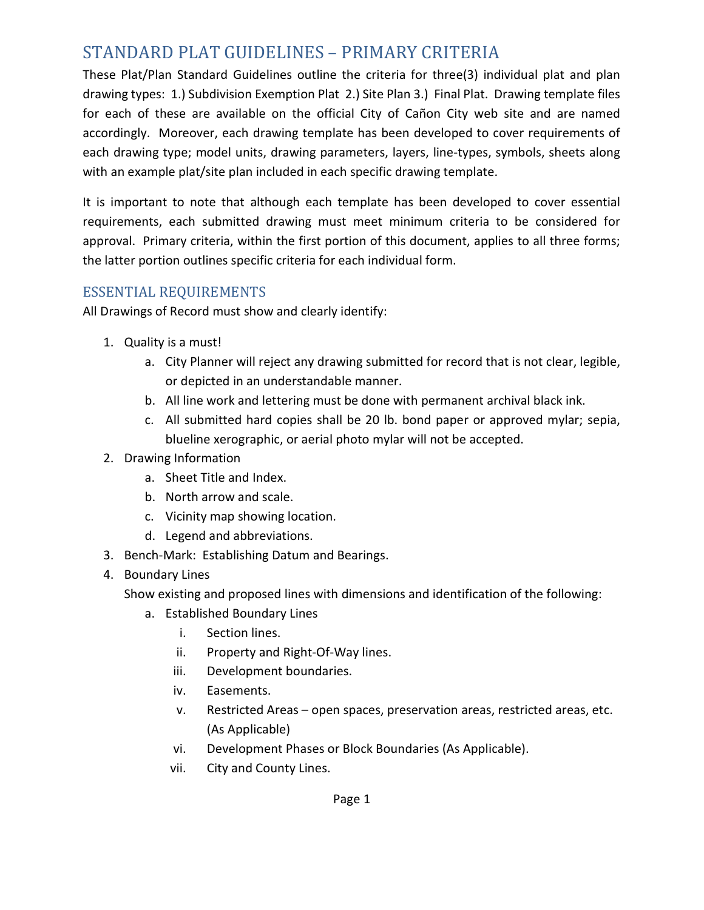## STANDARD PLAT GUIDELINES – PRIMARY CRITERIA

These Plat/Plan Standard Guidelines outline the criteria for three(3) individual plat and plan drawing types: 1.) Subdivision Exemption Plat 2.) Site Plan 3.) Final Plat. Drawing template files for each of these are available on the official City of Cañon City web site and are named accordingly. Moreover, each drawing template has been developed to cover requirements of each drawing type; model units, drawing parameters, layers, line-types, symbols, sheets along with an example plat/site plan included in each specific drawing template.

It is important to note that although each template has been developed to cover essential requirements, each submitted drawing must meet minimum criteria to be considered for approval. Primary criteria, within the first portion of this document, applies to all three forms; the latter portion outlines specific criteria for each individual form.

#### ESSENTIAL REQUIREMENTS

All Drawings of Record must show and clearly identify:

- 1. Quality is a must!
	- a. City Planner will reject any drawing submitted for record that is not clear, legible, or depicted in an understandable manner.
	- b. All line work and lettering must be done with permanent archival black ink.
	- c. All submitted hard copies shall be 20 lb. bond paper or approved mylar; sepia, blueline xerographic, or aerial photo mylar will not be accepted.

#### 2. Drawing Information

- a. Sheet Title and Index.
- b. North arrow and scale.
- c. Vicinity map showing location.
- d. Legend and abbreviations.
- 3. Bench-Mark: Establishing Datum and Bearings.
- 4. Boundary Lines

Show existing and proposed lines with dimensions and identification of the following:

- a. Established Boundary Lines
	- i. Section lines.
	- ii. Property and Right-Of-Way lines.
	- iii. Development boundaries.
	- iv. Easements.
	- v. Restricted Areas open spaces, preservation areas, restricted areas, etc. (As Applicable)
	- vi. Development Phases or Block Boundaries (As Applicable).
	- vii. City and County Lines.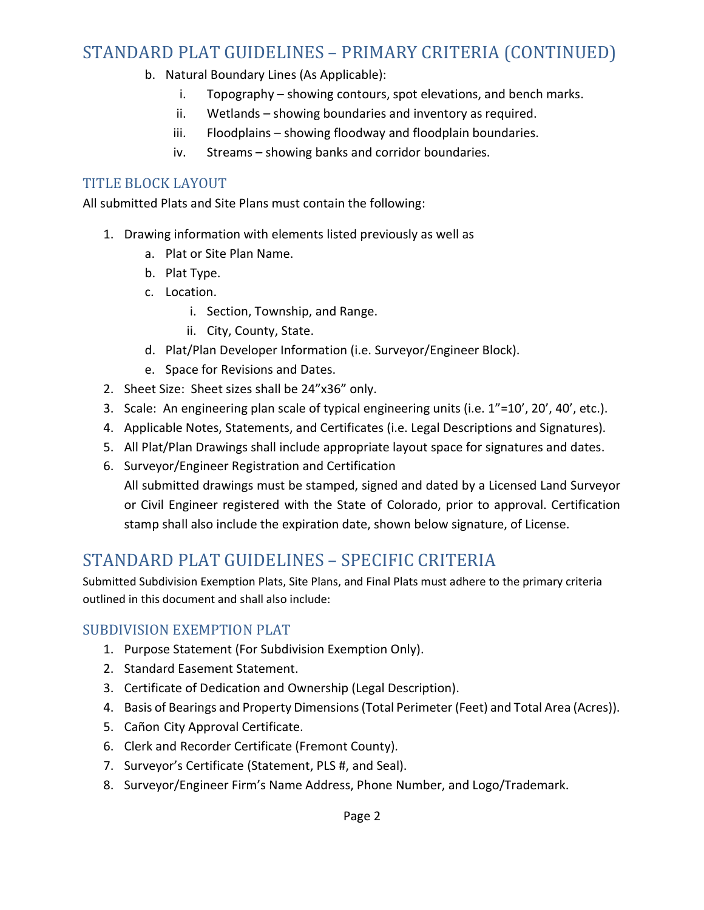## STANDARD PLAT GUIDELINES – PRIMARY CRITERIA (CONTINUED)

- b. Natural Boundary Lines (As Applicable):
	- i. Topography showing contours, spot elevations, and bench marks.
	- ii. Wetlands showing boundaries and inventory as required.
	- iii. Floodplains showing floodway and floodplain boundaries.
	- iv. Streams showing banks and corridor boundaries.

#### TITLE BLOCK LAYOUT

All submitted Plats and Site Plans must contain the following:

- 1. Drawing information with elements listed previously as well as
	- a. Plat or Site Plan Name.
	- b. Plat Type.
	- c. Location.
		- i. Section, Township, and Range.
		- ii. City, County, State.
	- d. Plat/Plan Developer Information (i.e. Surveyor/Engineer Block).
	- e. Space for Revisions and Dates.
- 2. Sheet Size: Sheet sizes shall be 24"x36" only.
- 3. Scale: An engineering plan scale of typical engineering units (i.e. 1"=10', 20', 40', etc.).
- 4. Applicable Notes, Statements, and Certificates (i.e. Legal Descriptions and Signatures).
- 5. All Plat/Plan Drawings shall include appropriate layout space for signatures and dates.
- 6. Surveyor/Engineer Registration and Certification
	- All submitted drawings must be stamped, signed and dated by a Licensed Land Surveyor or Civil Engineer registered with the State of Colorado, prior to approval. Certification stamp shall also include the expiration date, shown below signature, of License.

## STANDARD PLAT GUIDELINES – SPECIFIC CRITERIA

Submitted Subdivision Exemption Plats, Site Plans, and Final Plats must adhere to the primary criteria outlined in this document and shall also include:

#### SUBDIVISION EXEMPTION PLAT

- 1. Purpose Statement (For Subdivision Exemption Only).
- 2. Standard Easement Statement.
- 3. Certificate of Dedication and Ownership (Legal Description).
- 4. Basis of Bearings and Property Dimensions (Total Perimeter (Feet) and Total Area (Acres)).
- 5. Cañon City Approval Certificate.
- 6. Clerk and Recorder Certificate (Fremont County).
- 7. Surveyor's Certificate (Statement, PLS #, and Seal).
- 8. Surveyor/Engineer Firm's Name Address, Phone Number, and Logo/Trademark.